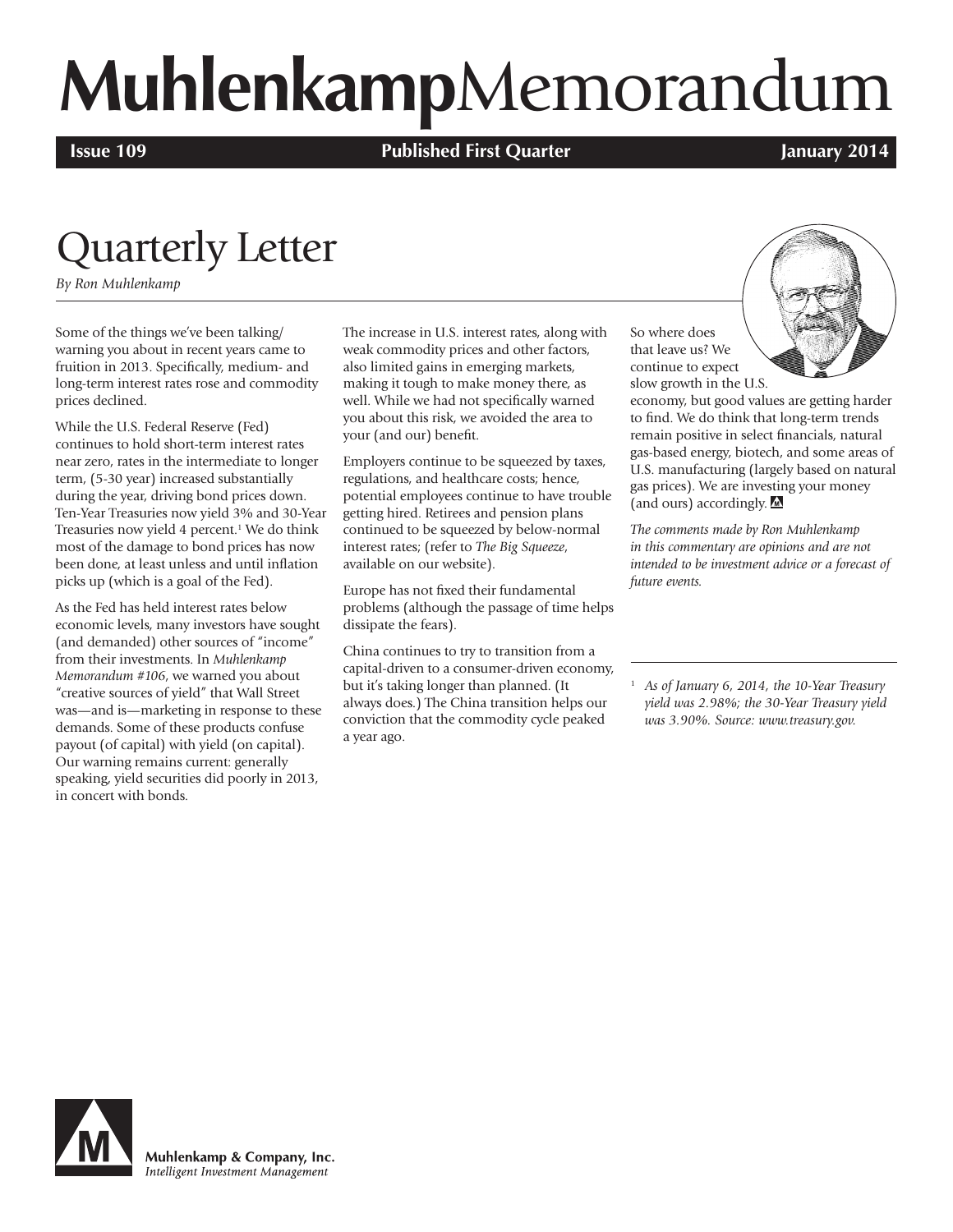# **Muhlenkamp**Memorandum

**Issue 109 Published First Quarter January 2014**

### Quarterly Letter

*By Ron Muhlenkamp*

Some of the things we've been talking/ warning you about in recent years came to fruition in 2013. Specifically, medium- and long-term interest rates rose and commodity prices declined.

While the U.S. Federal Reserve (Fed) continues to hold short-term interest rates near zero, rates in the intermediate to longer term, (5-30 year) increased substantially during the year, driving bond prices down. Ten-Year Treasuries now yield 3% and 30-Year Treasuries now yield 4 percent.<sup>1</sup> We do think most of the damage to bond prices has now been done, at least unless and until inflation picks up (which is a goal of the Fed).

As the Fed has held interest rates below economic levels, many investors have sought (and demanded) other sources of "income" from their investments. In *Muhlenkamp Memorandum #106*, we warned you about "creative sources of yield" that Wall Street was—and is—marketing in response to these demands. Some of these products confuse payout (of capital) with yield (on capital). Our warning remains current: generally speaking, yield securities did poorly in 2013, in concert with bonds.

The increase in U.S. interest rates, along with weak commodity prices and other factors, also limited gains in emerging markets, making it tough to make money there, as well. While we had not specifically warned you about this risk, we avoided the area to your (and our) benefit.

Employers continue to be squeezed by taxes, regulations, and healthcare costs; hence, potential employees continue to have trouble getting hired. Retirees and pension plans continued to be squeezed by below-normal interest rates; (refer to *The Big Squeeze*, available on our website).

Europe has not fixed their fundamental problems (although the passage of time helps dissipate the fears).

China continues to try to transition from a capital-driven to a consumer-driven economy, but it's taking longer than planned. (It always does.) The China transition helps our conviction that the commodity cycle peaked a year ago.

So where does that leave us? We continue to expect slow growth in the U.S.



economy, but good values are getting harder to find. We do think that long-term trends remain positive in select financials, natural gas-based energy, biotech, and some areas of U.S. manufacturing (largely based on natural gas prices). We are investing your money (and ours) accordingly. M

*The comments made by Ron Muhlenkamp in this commentary are opinions and are not intended to be investment advice or a forecast of future events.*

<sup>1</sup> *As of January 6, 2014, the 10-Year Treasury yield was 2.98%; the 30-Year Treasury yield was 3.90%. Source: www.treasury.gov.*



Muhlenkamp & Company, Inc. Intelligent Investment Management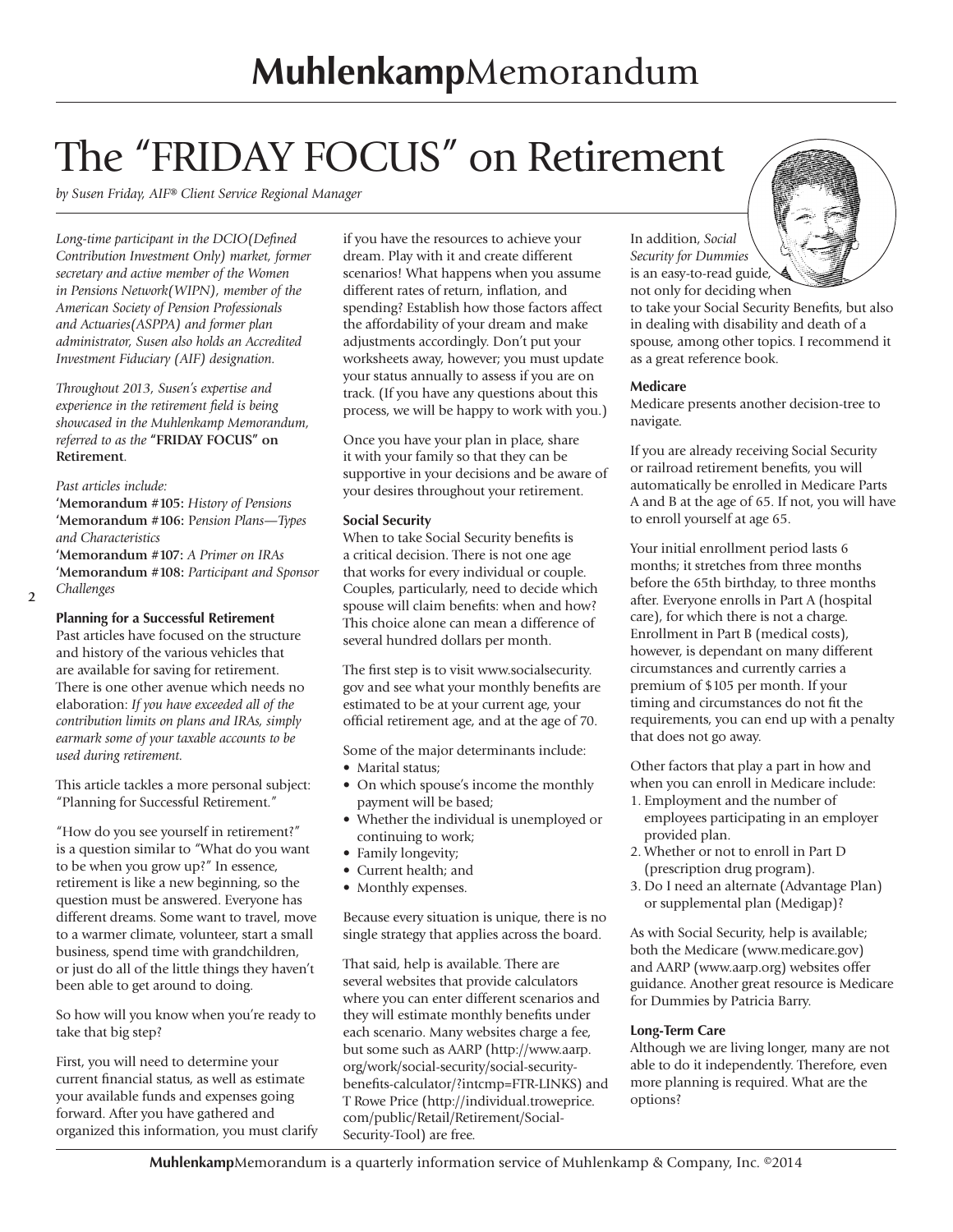## The "FRIDAY FOCUS" on Retirement

*by Susen Friday, AIF® Client Service Regional Manager*

*Long-time participant in the DCIO(Defined Contribution Investment Only) market, former secretary and active member of the Women in Pensions Network(WIPN), member of the American Society of Pension Professionals and Actuaries(ASPPA) and former plan administrator, Susen also holds an Accredited Investment Fiduciary (AIF) designation.*

*Throughout 2013, Susen's expertise and experience in the retirement field is being showcased in the Muhlenkamp Memorandum, referred to as the* **"FRIDAY FOCUS" on Retirement**.

#### *Past articles include:*

**'Memorandum #105:** *History of Pensions* **'Memorandum #106:** P*ension Plans—Types and Characteristics*

**'Memorandum #107:** *A Primer on IRAs* **'Memorandum #108:** *Participant and Sponsor Challenges*

**2**

#### **Planning for a Successful Retirement**

Past articles have focused on the structure and history of the various vehicles that are available for saving for retirement. There is one other avenue which needs no elaboration: *If you have exceeded all of the contribution limits on plans and IRAs, simply earmark some of your taxable accounts to be used during retirement.*

This article tackles a more personal subject: "Planning for Successful Retirement."

"How do you see yourself in retirement?" is a question similar to "What do you want to be when you grow up?" In essence, retirement is like a new beginning, so the question must be answered. Everyone has different dreams. Some want to travel, move to a warmer climate, volunteer, start a small business, spend time with grandchildren, or just do all of the little things they haven't been able to get around to doing.

So how will you know when you're ready to take that big step?

First, you will need to determine your current financial status, as well as estimate your available funds and expenses going forward. After you have gathered and organized this information, you must clarify if you have the resources to achieve your dream. Play with it and create different scenarios! What happens when you assume different rates of return, inflation, and spending? Establish how those factors affect the affordability of your dream and make adjustments accordingly. Don't put your worksheets away, however; you must update your status annually to assess if you are on track. (If you have any questions about this process, we will be happy to work with you.)

Once you have your plan in place, share it with your family so that they can be supportive in your decisions and be aware of your desires throughout your retirement.

#### **Social Security**

When to take Social Security benefits is a critical decision. There is not one age that works for every individual or couple. Couples, particularly, need to decide which spouse will claim benefits: when and how? This choice alone can mean a difference of several hundred dollars per month.

The first step is to visit www.socialsecurity. gov and see what your monthly benefits are estimated to be at your current age, your official retirement age, and at the age of 70.

Some of the major determinants include:

- Marital status:
- On which spouse's income the monthly payment will be based;
- Whether the individual is unemployed or continuing to work;
- Family longevity;
- Current health; and
- Monthly expenses.

Because every situation is unique, there is no single strategy that applies across the board.

That said, help is available. There are several websites that provide calculators where you can enter different scenarios and they will estimate monthly benefits under each scenario. Many websites charge a fee, but some such as AARP (http://www.aarp. org/work/social-security/social-securitybenefits-calculator/?intcmp=FTR-LINKS) and T Rowe Price (http://individual.troweprice. com/public/Retail/Retirement/Social-Security-Tool) are free.

In addition, *Social Security for Dummies* is an easy-to-read guide, not only for deciding when

to take your Social Security Benefits, but also in dealing with disability and death of a spouse, among other topics. I recommend it as a great reference book.

#### **Medicare**

Medicare presents another decision-tree to navigate.

If you are already receiving Social Security or railroad retirement benefits, you will automatically be enrolled in Medicare Parts A and B at the age of 65. If not, you will have to enroll yourself at age 65.

Your initial enrollment period lasts 6 months; it stretches from three months before the 65th birthday, to three months after. Everyone enrolls in Part A (hospital care), for which there is not a charge. Enrollment in Part B (medical costs), however, is dependant on many different circumstances and currently carries a premium of \$105 per month. If your timing and circumstances do not fit the requirements, you can end up with a penalty that does not go away.

Other factors that play a part in how and when you can enroll in Medicare include:

- 1. Employment and the number of employees participating in an employer provided plan.
- 2. Whether or not to enroll in Part D (prescription drug program).
- 3. Do I need an alternate (Advantage Plan) or supplemental plan (Medigap)?

As with Social Security, help is available; both the Medicare (www.medicare.gov) and AARP (www.aarp.org) websites offer guidance. Another great resource is Medicare for Dummies by Patricia Barry.

#### **Long-Term Care**

Although we are living longer, many are not able to do it independently. Therefore, even more planning is required. What are the options?

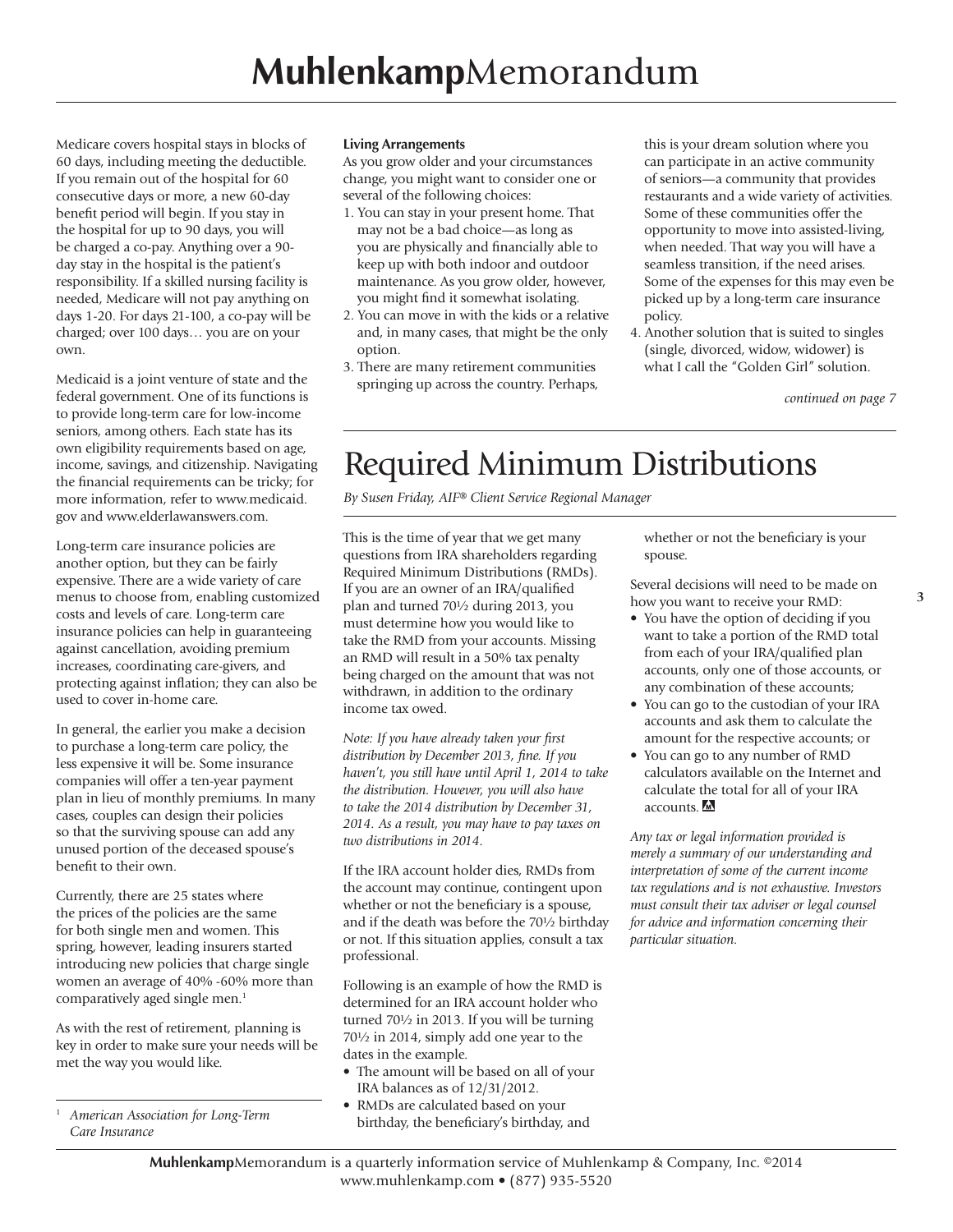Medicare covers hospital stays in blocks of 60 days, including meeting the deductible. If you remain out of the hospital for 60 consecutive days or more, a new 60-day benefit period will begin. If you stay in the hospital for up to 90 days, you will be charged a co-pay. Anything over a 90 day stay in the hospital is the patient's responsibility. If a skilled nursing facility is needed, Medicare will not pay anything on days 1-20. For days 21-100, a co-pay will be charged; over 100 days… you are on your own.

Medicaid is a joint venture of state and the federal government. One of its functions is to provide long-term care for low-income seniors, among others. Each state has its own eligibility requirements based on age, income, savings, and citizenship. Navigating the financial requirements can be tricky; for more information, refer to www.medicaid. gov and www.elderlawanswers.com.

Long-term care insurance policies are another option, but they can be fairly expensive. There are a wide variety of care menus to choose from, enabling customized costs and levels of care. Long-term care insurance policies can help in guaranteeing against cancellation, avoiding premium increases, coordinating care-givers, and protecting against inflation; they can also be used to cover in-home care.

In general, the earlier you make a decision to purchase a long-term care policy, the less expensive it will be. Some insurance companies will offer a ten-year payment plan in lieu of monthly premiums. In many cases, couples can design their policies so that the surviving spouse can add any unused portion of the deceased spouse's benefit to their own.

Currently, there are 25 states where the prices of the policies are the same for both single men and women. This spring, however, leading insurers started introducing new policies that charge single women an average of 40% -60% more than comparatively aged single men.<sup>1</sup>

As with the rest of retirement, planning is key in order to make sure your needs will be met the way you would like.

<sup>1</sup> *American Association for Long-Term Care Insurance*

#### **Living Arrangements**

As you grow older and your circumstances change, you might want to consider one or several of the following choices:

- 1. You can stay in your present home. That may not be a bad choice—as long as you are physically and financially able to keep up with both indoor and outdoor maintenance. As you grow older, however, you might find it somewhat isolating.
- 2. You can move in with the kids or a relative and, in many cases, that might be the only option.
- 3. There are many retirement communities springing up across the country. Perhaps,

this is your dream solution where you can participate in an active community of seniors—a community that provides restaurants and a wide variety of activities. Some of these communities offer the opportunity to move into assisted-living, when needed. That way you will have a seamless transition, if the need arises. Some of the expenses for this may even be picked up by a long-term care insurance policy.

4. Another solution that is suited to singles (single, divorced, widow, widower) is what I call the "Golden Girl" solution.

*continued on page 7*

### Required Minimum Distributions

*By Susen Friday, AIF® Client Service Regional Manager*

This is the time of year that we get many questions from IRA shareholders regarding Required Minimum Distributions (RMDs). If you are an owner of an IRA/qualified plan and turned 70½ during 2013, you must determine how you would like to take the RMD from your accounts. Missing an RMD will result in a 50% tax penalty being charged on the amount that was not withdrawn, in addition to the ordinary income tax owed.

*Note: If you have already taken your first distribution by December 2013, fine. If you haven't, you still have until April 1, 2014 to take the distribution. However, you will also have to take the 2014 distribution by December 31, 2014. As a result, you may have to pay taxes on two distributions in 2014.* 

If the IRA account holder dies, RMDs from the account may continue, contingent upon whether or not the beneficiary is a spouse, and if the death was before the 70½ birthday or not. If this situation applies, consult a tax professional.

Following is an example of how the RMD is determined for an IRA account holder who turned 70½ in 2013. If you will be turning 70½ in 2014, simply add one year to the dates in the example.

- The amount will be based on all of your IRA balances as of 12/31/2012.
- RMDs are calculated based on your birthday, the beneficiary's birthday, and

whether or not the beneficiary is your spouse.

Several decisions will need to be made on how you want to receive your RMD:

- You have the option of deciding if you want to take a portion of the RMD total from each of your IRA/qualified plan accounts, only one of those accounts, or any combination of these accounts;
- You can go to the custodian of your IRA accounts and ask them to calculate the amount for the respective accounts; or
- You can go to any number of RMD calculators available on the Internet and calculate the total for all of your IRA accounts.

*Any tax or legal information provided is merely a summary of our understanding and interpretation of some of the current income tax regulations and is not exhaustive. Investors must consult their tax adviser or legal counsel for advice and information concerning their particular situation.*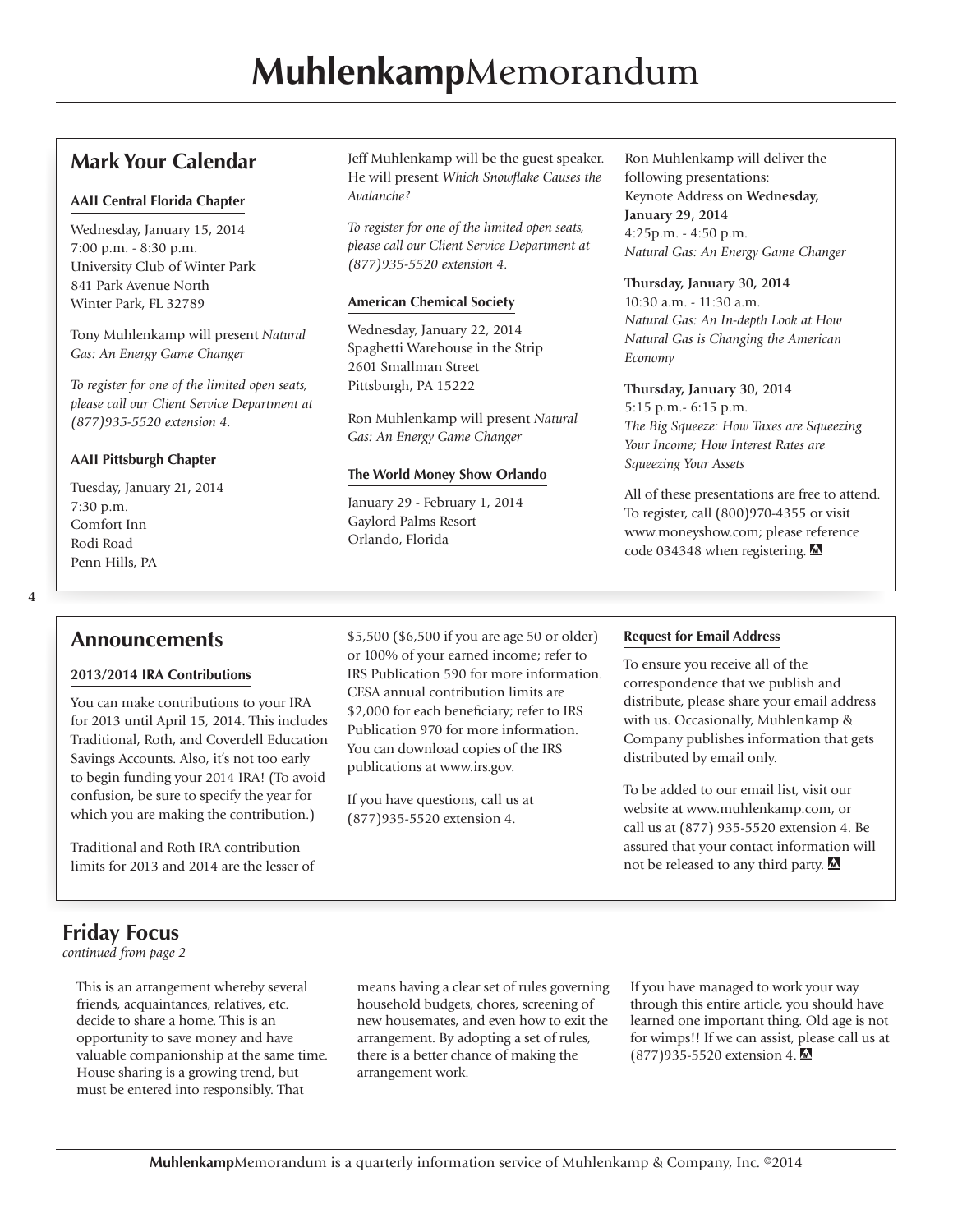#### **Mark Your Calendar**

#### **AAII Central Florida Chapter**

Wednesday, January 15, 2014 7:00 p.m. - 8:30 p.m. University Club of Winter Park 841 Park Avenue North Winter Park, FL 32789

Tony Muhlenkamp will present *Natural Gas: An Energy Game Changer*

*To register for one of the limited open seats, please call our Client Service Department at (877)935-5520 extension 4.* 

#### **AAII Pittsburgh Chapter**

Tuesday, January 21, 2014 7:30 p.m. Comfort Inn Rodi Road Penn Hills, PA

Jeff Muhlenkamp will be the guest speaker. He will present *Which Snowflake Causes the Avalanche?*

*To register for one of the limited open seats, please call our Client Service Department at (877)935-5520 extension 4.* 

#### **American Chemical Society**

Wednesday, January 22, 2014 Spaghetti Warehouse in the Strip 2601 Smallman Street Pittsburgh, PA 15222

Ron Muhlenkamp will present *Natural Gas: An Energy Game Changer*

#### **The World Money Show Orlando**

January 29 - February 1, 2014 Gaylord Palms Resort Orlando, Florida

Ron Muhlenkamp will deliver the following presentations: Keynote Address on **Wednesday, January 29, 2014** 4:25p.m. - 4:50 p.m. *Natural Gas: An Energy Game Changer*

#### **Thursday, January 30, 2014**

10:30 a.m. - 11:30 a.m. *Natural Gas: An In-depth Look at How Natural Gas is Changing the American Economy*

#### **Thursday, January 30, 2014**

5:15 p.m.- 6:15 p.m. *The Big Squeeze: How Taxes are Squeezing Your Income; How Interest Rates are Squeezing Your Assets*

All of these presentations are free to attend. To register, call (800)970-4355 or visit www.moneyshow.com; please reference code 034348 when registering.

#### **Announcements**

#### **2013/2014 IRA Contributions**

You can make contributions to your IRA for 2013 until April 15, 2014. This includes Traditional, Roth, and Coverdell Education Savings Accounts. Also, it's not too early to begin funding your 2014 IRA! (To avoid confusion, be sure to specify the year for which you are making the contribution.)

Traditional and Roth IRA contribution limits for 2013 and 2014 are the lesser of \$5,500 (\$6,500 if you are age 50 or older) or 100% of your earned income; refer to IRS Publication 590 for more information. CESA annual contribution limits are \$2,000 for each beneficiary; refer to IRS Publication 970 for more information. You can download copies of the IRS publications at www.irs.gov.

If you have questions, call us at (877)935-5520 extension 4.

#### **Request for Email Address**

To ensure you receive all of the correspondence that we publish and distribute, please share your email address with us. Occasionally, Muhlenkamp & Company publishes information that gets distributed by email only.

To be added to our email list, visit our website at www.muhlenkamp.com, or call us at (877) 935-5520 extension 4. Be assured that your contact information will not be released to any third party.

### **Friday Focus**

*continued from page 2*

This is an arrangement whereby several friends, acquaintances, relatives, etc. decide to share a home. This is an opportunity to save money and have valuable companionship at the same time. House sharing is a growing trend, but must be entered into responsibly. That

means having a clear set of rules governing household budgets, chores, screening of new housemates, and even how to exit the arrangement. By adopting a set of rules, there is a better chance of making the arrangement work.

If you have managed to work your way through this entire article, you should have learned one important thing. Old age is not for wimps!! If we can assist, please call us at (877)935-5520 extension 4.